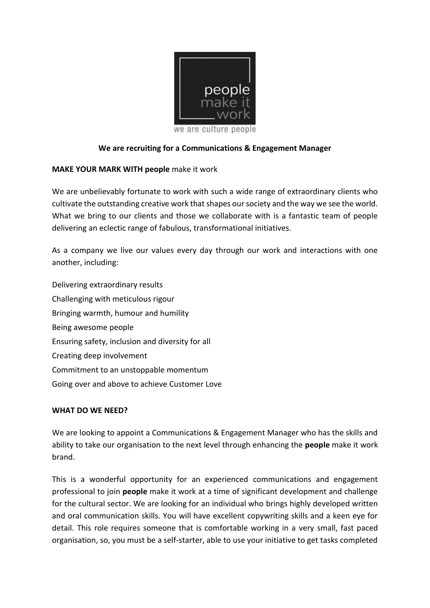

#### **We are recruiting for a Communications & Engagement Manager**

#### **MAKE YOUR MARK WITH people** make it work

We are unbelievably fortunate to work with such a wide range of extraordinary clients who cultivate the outstanding creative work that shapes our society and the way we see the world. What we bring to our clients and those we collaborate with is a fantastic team of people delivering an eclectic range of fabulous, transformational initiatives.

As a company we live our values every day through our work and interactions with one another, including:

Delivering extraordinary results Challenging with meticulous rigour Bringing warmth, humour and humility Being awesome people Ensuring safety, inclusion and diversity for all Creating deep involvement Commitment to an unstoppable momentum Going over and above to achieve Customer Love

#### **WHAT DO WE NEED?**

We are looking to appoint a Communications & Engagement Manager who has the skills and ability to take our organisation to the next level through enhancing the **people** make it work brand.

This is a wonderful opportunity for an experienced communications and engagement professional to join **people** make it work at a time of significant development and challenge for the cultural sector. We are looking for an individual who brings highly developed written and oral communication skills. You will have excellent copywriting skills and a keen eye for detail. This role requires someone that is comfortable working in a very small, fast paced organisation, so, you must be a self-starter, able to use your initiative to get tasks completed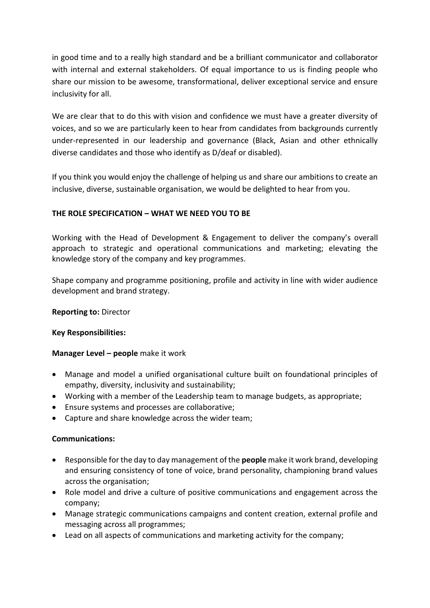in good time and to a really high standard and be a brilliant communicator and collaborator with internal and external stakeholders. Of equal importance to us is finding people who share our mission to be awesome, transformational, deliver exceptional service and ensure inclusivity for all.

We are clear that to do this with vision and confidence we must have a greater diversity of voices, and so we are particularly keen to hear from candidates from backgrounds currently under-represented in our leadership and governance (Black, Asian and other ethnically diverse candidates and those who identify as D/deaf or disabled).

If you think you would enjoy the challenge of helping us and share our ambitions to create an inclusive, diverse, sustainable organisation, we would be delighted to hear from you.

## **THE ROLE SPECIFICATION – WHAT WE NEED YOU TO BE**

Working with the Head of Development & Engagement to deliver the company's overall approach to strategic and operational communications and marketing; elevating the knowledge story of the company and key programmes.

Shape company and programme positioning, profile and activity in line with wider audience development and brand strategy.

### **Reporting to:** Director

### **Key Responsibilities:**

### **Manager Level – people** make it work

- Manage and model a unified organisational culture built on foundational principles of empathy, diversity, inclusivity and sustainability;
- Working with a member of the Leadership team to manage budgets, as appropriate;
- Ensure systems and processes are collaborative;
- Capture and share knowledge across the wider team;

### **Communications:**

- Responsible for the day to day management of the **people** make it work brand, developing and ensuring consistency of tone of voice, brand personality, championing brand values across the organisation;
- Role model and drive a culture of positive communications and engagement across the company;
- Manage strategic communications campaigns and content creation, external profile and messaging across all programmes;
- Lead on all aspects of communications and marketing activity for the company;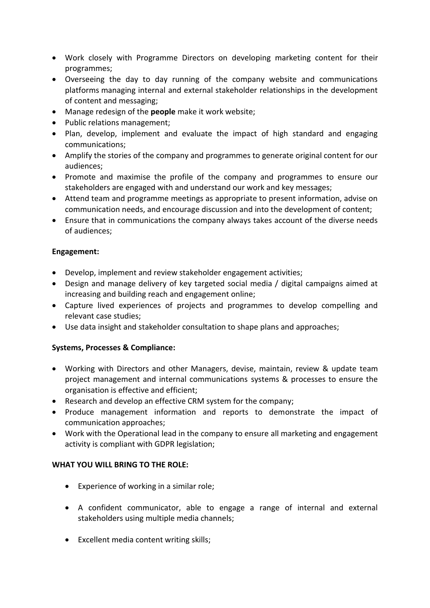- Work closely with Programme Directors on developing marketing content for their programmes;
- Overseeing the day to day running of the company website and communications platforms managing internal and external stakeholder relationships in the development of content and messaging;
- Manage redesign of the **people** make it work website;
- Public relations management;
- Plan, develop, implement and evaluate the impact of high standard and engaging communications;
- Amplify the stories of the company and programmes to generate original content for our audiences;
- Promote and maximise the profile of the company and programmes to ensure our stakeholders are engaged with and understand our work and key messages;
- Attend team and programme meetings as appropriate to present information, advise on communication needs, and encourage discussion and into the development of content;
- Ensure that in communications the company always takes account of the diverse needs of audiences;

### **Engagement:**

- Develop, implement and review stakeholder engagement activities;
- Design and manage delivery of key targeted social media / digital campaigns aimed at increasing and building reach and engagement online;
- Capture lived experiences of projects and programmes to develop compelling and relevant case studies;
- Use data insight and stakeholder consultation to shape plans and approaches;

### **Systems, Processes & Compliance:**

- Working with Directors and other Managers, devise, maintain, review & update team project management and internal communications systems & processes to ensure the organisation is effective and efficient;
- Research and develop an effective CRM system for the company;
- Produce management information and reports to demonstrate the impact of communication approaches;
- Work with the Operational lead in the company to ensure all marketing and engagement activity is compliant with GDPR legislation;

### **WHAT YOU WILL BRING TO THE ROLE:**

- Experience of working in a similar role;
- A confident communicator, able to engage a range of internal and external stakeholders using multiple media channels;
- Excellent media content writing skills;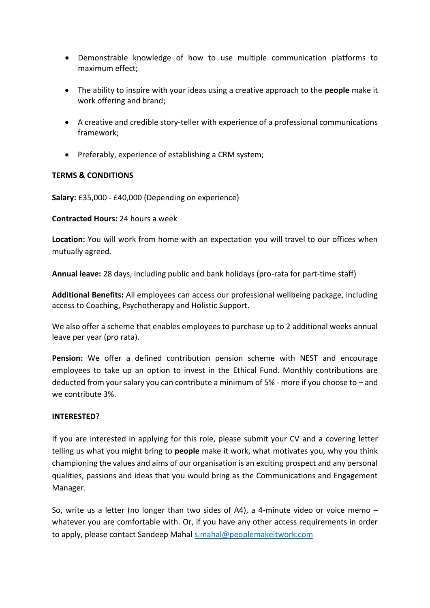- Demonstrable knowledge of how to use multiple communication platforms to maximum effect;
- The ability to inspire with your ideas using a creative approach to the **people** make it work offering and brand;
- A creative and credible story-teller with experience of a professional communications framework;
- Preferably, experience of establishing a CRM system;

#### **TERMS & CONDITIONS**

**Salary:** £35,000 - £40,000 (Depending on experience)

#### **Contracted Hours:** 24 hours a week

**Location:** You will work from home with an expectation you will travel to our offices when mutually agreed.

**Annual leave:** 28 days, including public and bank holidays (pro-rata for part-time staff)

**Additional Benefits:** All employees can access our professional wellbeing package, including access to Coaching, Psychotherapy and Holistic Support.

We also offer a scheme that enables employees to purchase up to 2 additional weeks annual leave per year (pro rata).

**Pension:** We offer a defined contribution pension scheme with NEST and encourage employees to take up an option to invest in the Ethical Fund. Monthly contributions are deducted from your salary you can contribute a minimum of 5% - more if you choose to – and we contribute 3%.

#### **INTERESTED?**

If you are interested in applying for this role, please submit your CV and a covering letter telling us what you might bring to **people** make it work, what motivates you, why you think championing the values and aims of our organisation is an exciting prospect and any personal qualities, passions and ideas that you would bring as the Communications and Engagement Manager.

So, write us a letter (no longer than two sides of A4), a 4-minute video or voice memo – whatever you are comfortable with. Or, if you have any other access requirements in order to apply, please contact Sandeep Mahal [s.mahal@peoplemakeitwork.com](mailto:s.mahal@peoplemakeitwork.com)